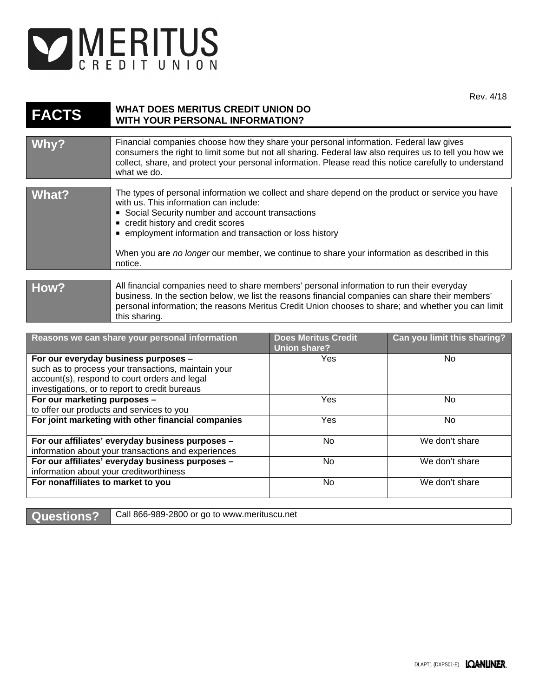

Rev. 4/18

| <b>FACTS</b>                                                              | <b>WHAT DOES MERITUS CREDIT UNION DO</b><br><b>WITH YOUR PERSONAL INFORMATION?</b>                                                                                                                                                                                                                                                                                                                        |                                                   |                             |
|---------------------------------------------------------------------------|-----------------------------------------------------------------------------------------------------------------------------------------------------------------------------------------------------------------------------------------------------------------------------------------------------------------------------------------------------------------------------------------------------------|---------------------------------------------------|-----------------------------|
|                                                                           |                                                                                                                                                                                                                                                                                                                                                                                                           |                                                   |                             |
| <u>Why?</u>                                                               | Financial companies choose how they share your personal information. Federal law gives<br>consumers the right to limit some but not all sharing. Federal law also requires us to tell you how we<br>collect, share, and protect your personal information. Please read this notice carefully to understand<br>what we do.                                                                                 |                                                   |                             |
| <b>What?</b>                                                              | The types of personal information we collect and share depend on the product or service you have<br>with us. This information can include:<br>Social Security number and account transactions<br>credit history and credit scores<br>• employment information and transaction or loss history<br>When you are no longer our member, we continue to share your information as described in this<br>notice. |                                                   |                             |
|                                                                           |                                                                                                                                                                                                                                                                                                                                                                                                           |                                                   |                             |
| How?                                                                      | All financial companies need to share members' personal information to run their everyday<br>business. In the section below, we list the reasons financial companies can share their members'<br>personal information; the reasons Meritus Credit Union chooses to share; and whether you can limit<br>this sharing.                                                                                      |                                                   |                             |
|                                                                           |                                                                                                                                                                                                                                                                                                                                                                                                           |                                                   |                             |
|                                                                           | Reasons we can share your personal information                                                                                                                                                                                                                                                                                                                                                            | <b>Does Meritus Credit</b><br><b>Union share?</b> | Can you limit this sharing? |
| For our everyday business purposes -                                      |                                                                                                                                                                                                                                                                                                                                                                                                           | Yes                                               | No                          |
| such as to process your transactions, maintain your                       |                                                                                                                                                                                                                                                                                                                                                                                                           |                                                   |                             |
| account(s), respond to court orders and legal                             |                                                                                                                                                                                                                                                                                                                                                                                                           |                                                   |                             |
| investigations, or to report to credit bureaus                            |                                                                                                                                                                                                                                                                                                                                                                                                           | Yes                                               | <b>No</b>                   |
| For our marketing purposes -<br>to offer our products and services to you |                                                                                                                                                                                                                                                                                                                                                                                                           |                                                   |                             |
| For joint marketing with other financial companies                        |                                                                                                                                                                                                                                                                                                                                                                                                           | Yes                                               | No                          |
| For our affiliates' everyday business purposes -                          |                                                                                                                                                                                                                                                                                                                                                                                                           | <b>No</b>                                         | We don't share              |

**For our affiliates' everyday business purposes –** information about your transactions and experiences No We don't share **For our affiliates' everyday business purposes –** information about your creditworthiness No We don't share **For nonaffiliates to market to you** No No We don't share

Questions? | Call 866-989-2800 or go to www.merituscu.net